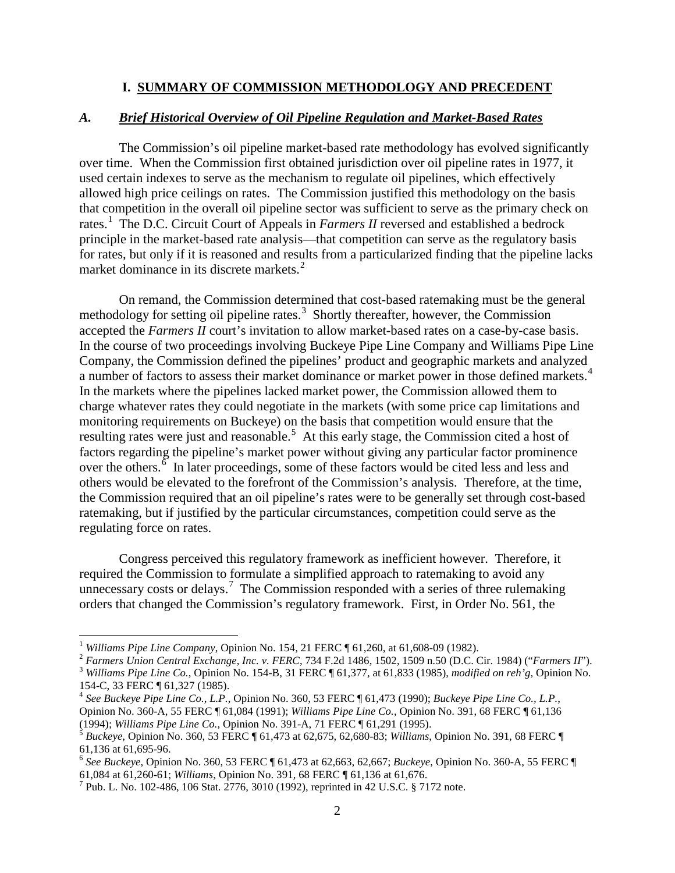## **I. SUMMARY OF COMMISSION METHODOLOGY AND PRECEDENT**

## *A. Brief Historical Overview of Oil Pipeline Regulation and Market-Based Rates*

The Commission's oil pipeline market-based rate methodology has evolved significantly over time. When the Commission first obtained jurisdiction over oil pipeline rates in 1977, it used certain indexes to serve as the mechanism to regulate oil pipelines, which effectively allowed high price ceilings on rates. The Commission justified this methodology on the basis that competition in the overall oil pipeline sector was sufficient to serve as the primary check on rates. [1](#page-0-0) The D.C. Circuit Court of Appeals in *Farmers II* reversed and established a bedrock principle in the market-based rate analysis—that competition can serve as the regulatory basis for rates, but only if it is reasoned and results from a particularized finding that the pipeline lacks market dominance in its discrete markets.<sup>[2](#page-0-1)</sup>

On remand, the Commission determined that cost-based ratemaking must be the general methodology for setting oil pipeline rates.<sup>[3](#page-0-2)</sup> Shortly thereafter, however, the Commission accepted the *Farmers II* court's invitation to allow market-based rates on a case-by-case basis. In the course of two proceedings involving Buckeye Pipe Line Company and Williams Pipe Line Company, the Commission defined the pipelines' product and geographic markets and analyzed a number of factors to assess their market dominance or market power in those defined markets.<sup>[4](#page-0-3)</sup> In the markets where the pipelines lacked market power, the Commission allowed them to charge whatever rates they could negotiate in the markets (with some price cap limitations and monitoring requirements on Buckeye) on the basis that competition would ensure that the resulting rates were just and reasonable.<sup>[5](#page-0-4)</sup> At this early stage, the Commission cited a host of factors regarding the pipeline's market power without giving any particular factor prominence over the others. $\frac{6}{9}$  $\frac{6}{9}$  $\frac{6}{9}$  In later proceedings, some of these factors would be cited less and less and others would be elevated to the forefront of the Commission's analysis. Therefore, at the time, the Commission required that an oil pipeline's rates were to be generally set through cost-based ratemaking, but if justified by the particular circumstances, competition could serve as the regulating force on rates.

Congress perceived this regulatory framework as inefficient however. Therefore, it required the Commission to formulate a simplified approach to ratemaking to avoid any unnecessary costs or delays.<sup>[7](#page-0-6)</sup> The Commission responded with a series of three rulemaking orders that changed the Commission's regulatory framework. First, in Order No. 561, the

<span id="page-0-0"></span><sup>&</sup>lt;sup>1</sup> Williams Pipe Line Company, Opinion No. 154, 21 FERC  $\P$  61,260, at 61,608-09 (1982).<br>
<sup>2</sup> Farmers Union Central Exchange, Inc. v. FERC, 734 F.2d 1486, 1502, 1509 n.50 (D.C. Cir. 1984) ("Farmers II").<br>
<sup>3</sup> Williams Pi

<span id="page-0-2"></span><span id="page-0-1"></span>

<span id="page-0-3"></span><sup>154-</sup>C, 33 FERC ¶ 61,327 (1985). <sup>4</sup> *See Buckeye Pipe Line Co., L.P.*, Opinion No. 360, 53 FERC ¶ 61,473 (1990); *Buckeye Pipe Line Co., L.P.*, Opinion No. 360-A, 55 FERC ¶ 61,084 (1991); *Williams Pipe Line Co.*, Opinion No. 391, 68 FERC ¶ 61,136

<span id="page-0-4"></span><sup>&</sup>lt;sup>5</sup> *Buckeye*, Opinion No. 360, 53 FERC ¶ 61,473 at 62,675, 62,680-83; *Williams*, Opinion No. 391, 68 FERC ¶ 61,136 at 61,695-96.

<span id="page-0-5"></span><sup>&</sup>lt;sup>6</sup> See Buckeye, Opinion No. 360, 53 FERC ¶ 61,473 at 62,663, 62,667; *Buckeye*, Opinion No. 360-A, 55 FERC ¶ 61,084 at 61,260-61; *Williams*, Opinion No. 391, 68 FERC ¶ 61,136 at 61,676.

<span id="page-0-6"></span><sup>&</sup>lt;sup>7</sup> Pub. L. No. 102-486, 106 Stat. 2776, 3010 (1992), reprinted in 42 U.S.C. § 7172 note.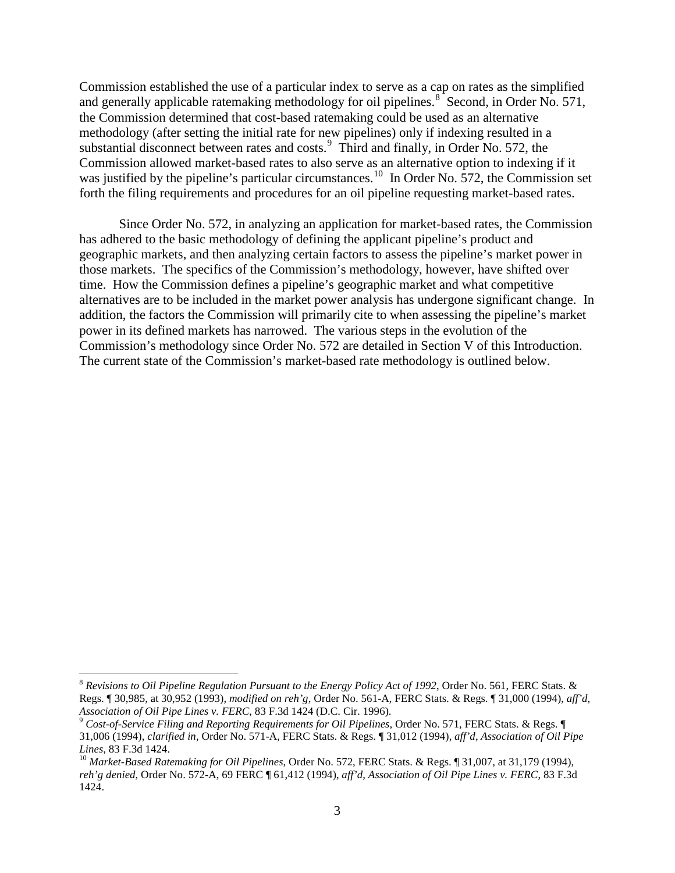Commission established the use of a particular index to serve as a cap on rates as the simplified and generally applicable ratemaking methodology for oil pipelines.<sup>[8](#page-1-0)</sup> Second, in Order No. 571, the Commission determined that cost-based ratemaking could be used as an alternative methodology (after setting the initial rate for new pipelines) only if indexing resulted in a substantial disconnect between rates and costs.<sup>[9](#page-1-1)</sup> Third and finally, in Order No. 572, the Commission allowed market-based rates to also serve as an alternative option to indexing if it was justified by the pipeline's particular circumstances.<sup>10</sup> In Order No. 572, the Commission set forth the filing requirements and procedures for an oil pipeline requesting market-based rates.

Since Order No. 572, in analyzing an application for market-based rates, the Commission has adhered to the basic methodology of defining the applicant pipeline's product and geographic markets, and then analyzing certain factors to assess the pipeline's market power in those markets. The specifics of the Commission's methodology, however, have shifted over time. How the Commission defines a pipeline's geographic market and what competitive alternatives are to be included in the market power analysis has undergone significant change. In addition, the factors the Commission will primarily cite to when assessing the pipeline's market power in its defined markets has narrowed. The various steps in the evolution of the Commission's methodology since Order No. 572 are detailed in Section V of this Introduction. The current state of the Commission's market-based rate methodology is outlined below.

<span id="page-1-0"></span> <sup>8</sup> *Revisions to Oil Pipeline Regulation Pursuant to the Energy Policy Act of 1992*, Order No. 561, FERC Stats. & Regs. ¶ 30,985, at 30,952 (1993), *modified on reh'g*, Order No. 561-A, FERC Stats. & Regs. ¶ 31,000 (1994), *aff'd*,

<span id="page-1-1"></span><sup>&</sup>lt;sup>9</sup> Cost-of-Service Filing and Reporting Requirements for Oil Pipelines, Order No. 571, FERC Stats. & Regs. ¶ 31,006 (1994), *clarified in*, Order No. 571-A, FERC Stats. & Regs. ¶ 31,012 (1994), *aff'd*, *Association of Oil Pipe* 

<span id="page-1-2"></span>*Lines*, 83 F.3d 1424.<br><sup>10</sup> *Market-Based Ratemaking for Oil Pipelines*, Order No. 572, FERC Stats. & Regs. ¶ 31,007, at 31,179 (1994), *reh'g denied*, Order No. 572-A, 69 FERC ¶ 61,412 (1994), *aff'd*, *Association of Oil Pipe Lines v. FERC*, 83 F.3d 1424.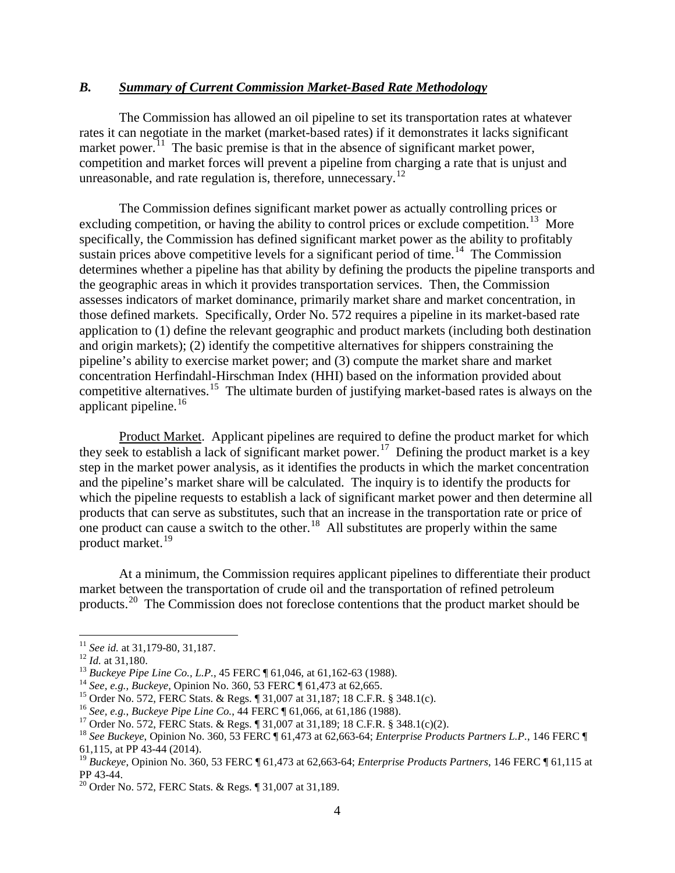## *B. Summary of Current Commission Market-Based Rate Methodology*

The Commission has allowed an oil pipeline to set its transportation rates at whatever rates it can negotiate in the market (market-based rates) if it demonstrates it lacks significant market power.<sup>[11](#page-2-0)</sup> The basic premise is that in the absence of significant market power, competition and market forces will prevent a pipeline from charging a rate that is unjust and unreasonable, and rate regulation is, therefore, unnecessary.<sup>12</sup>

The Commission defines significant market power as actually controlling prices or excluding competition, or having the ability to control prices or exclude competition.<sup>13</sup> More specifically, the Commission has defined significant market power as the ability to profitably sustain prices above competitive levels for a significant period of time.<sup>14</sup> The Commission determines whether a pipeline has that ability by defining the products the pipeline transports and the geographic areas in which it provides transportation services. Then, the Commission assesses indicators of market dominance, primarily market share and market concentration, in those defined markets. Specifically, Order No. 572 requires a pipeline in its market-based rate application to (1) define the relevant geographic and product markets (including both destination and origin markets); (2) identify the competitive alternatives for shippers constraining the pipeline's ability to exercise market power; and (3) compute the market share and market concentration Herfindahl-Hirschman Index (HHI) based on the information provided about competitive alternatives.<sup>15</sup> The ultimate burden of justifying market-based rates is always on the applicant pipeline.<sup>[16](#page-2-5)</sup>

Product Market. Applicant pipelines are required to define the product market for which they seek to establish a lack of significant market power. [17](#page-2-6) Defining the product market is a key step in the market power analysis, as it identifies the products in which the market concentration and the pipeline's market share will be calculated. The inquiry is to identify the products for which the pipeline requests to establish a lack of significant market power and then determine all products that can serve as substitutes, such that an increase in the transportation rate or price of one product can cause a switch to the other.<sup>[18](#page-2-7)</sup> All substitutes are properly within the same product market.[19](#page-2-8) 

At a minimum, the Commission requires applicant pipelines to differentiate their product market between the transportation of crude oil and the transportation of refined petroleum products.<sup>[20](#page-2-9)</sup> The Commission does not foreclose contentions that the product market should be

<span id="page-2-3"></span><span id="page-2-2"></span>

<span id="page-2-4"></span>

<span id="page-2-5"></span>

<span id="page-2-7"></span><span id="page-2-6"></span>

<span id="page-2-1"></span><span id="page-2-0"></span><sup>&</sup>lt;sup>11</sup> See id. at 31,179-80, 31,187.<br>
<sup>12</sup> Id. at 31,180.<br>
<sup>13</sup> Buckeye Pipe Line Co., L.P., 45 FERC ¶ 61,046, at 61,162-63 (1988).<br>
<sup>14</sup> See, e.g., Buckeye, Opinion No. 360, 53 FERC ¶ 61,473 at 62,665.<br>
<sup>15</sup> Order No. 572, 61,115, at PP 43-44 (2014).

<span id="page-2-8"></span><sup>&</sup>lt;sup>19</sup> *Buckeye*, Opinion No. 360, 53 FERC ¶ 61,473 at 62,663-64; *Enterprise Products Partners*, 146 FERC ¶ 61,115 at PP 43-44.

<span id="page-2-9"></span><sup>&</sup>lt;sup>20</sup> Order No. 572, FERC Stats. & Regs. ¶ 31,007 at 31,189.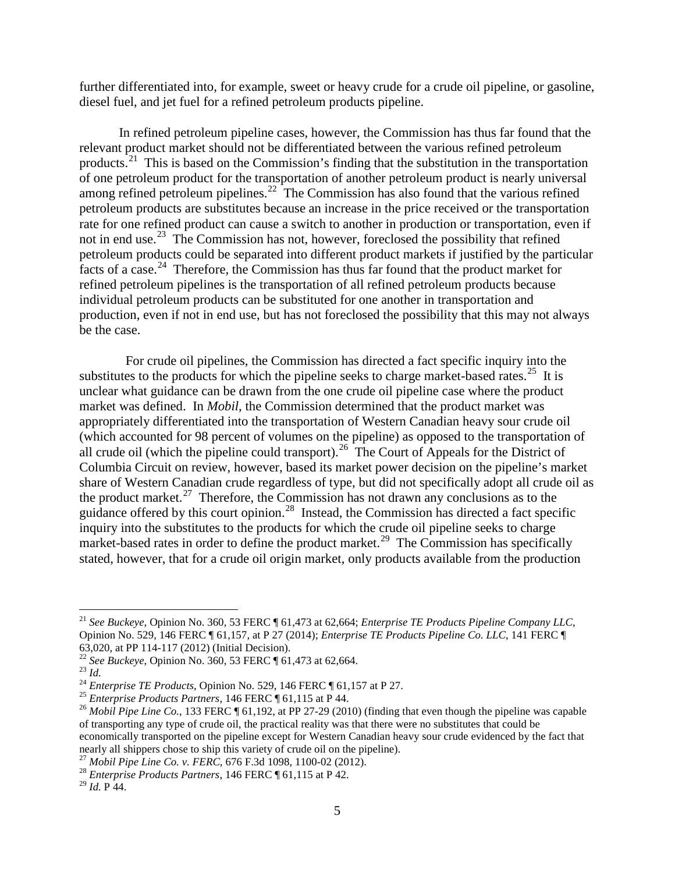further differentiated into, for example, sweet or heavy crude for a crude oil pipeline, or gasoline, diesel fuel, and jet fuel for a refined petroleum products pipeline.

In refined petroleum pipeline cases, however, the Commission has thus far found that the relevant product market should not be differentiated between the various refined petroleum products.<sup>[21](#page-3-0)</sup> This is based on the Commission's finding that the substitution in the transportation of one petroleum product for the transportation of another petroleum product is nearly universal among refined petroleum pipelines.<sup>[22](#page-3-1)</sup> The Commission has also found that the various refined petroleum products are substitutes because an increase in the price received or the transportation rate for one refined product can cause a switch to another in production or transportation, even if not in end use.<sup>23</sup> The Commission has not, however, foreclosed the possibility that refined petroleum products could be separated into different product markets if justified by the particular facts of a case.<sup>[24](#page-3-3)</sup> Therefore, the Commission has thus far found that the product market for refined petroleum pipelines is the transportation of all refined petroleum products because individual petroleum products can be substituted for one another in transportation and production, even if not in end use, but has not foreclosed the possibility that this may not always be the case.

 For crude oil pipelines, the Commission has directed a fact specific inquiry into the substitutes to the products for which the pipeline seeks to charge market-based rates.<sup>[25](#page-3-4)</sup> It is unclear what guidance can be drawn from the one crude oil pipeline case where the product market was defined. In *Mobil*, the Commission determined that the product market was appropriately differentiated into the transportation of Western Canadian heavy sour crude oil (which accounted for 98 percent of volumes on the pipeline) as opposed to the transportation of all crude oil (which the pipeline could transport).<sup>26</sup> The Court of Appeals for the District of Columbia Circuit on review, however, based its market power decision on the pipeline's market share of Western Canadian crude regardless of type, but did not specifically adopt all crude oil as the product market.<sup>[27](#page-3-6)</sup> Therefore, the Commission has not drawn any conclusions as to the guidance offered by this court opinion.[28](#page-3-7) Instead, the Commission has directed a fact specific inquiry into the substitutes to the products for which the crude oil pipeline seeks to charge market-based rates in order to define the product market.<sup>29</sup> The Commission has specifically stated, however, that for a crude oil origin market, only products available from the production

<span id="page-3-6"></span>

<span id="page-3-0"></span> <sup>21</sup> *See Buckeye*, Opinion No. 360, 53 FERC ¶ 61,473 at 62,664; *Enterprise TE Products Pipeline Company LLC*, Opinion No. 529, 146 FERC ¶ 61,157, at P 27 (2014); *Enterprise TE Products Pipeline Co. LLC*, 141 FERC ¶ 63,020, at PP 114-117 (2012) (Initial Decision).<br><sup>22</sup> See Buckeye, Opinion No. 360, 53 FERC ¶ 61,473 at 62,664.

<span id="page-3-5"></span><span id="page-3-4"></span>

<span id="page-3-3"></span><span id="page-3-2"></span><span id="page-3-1"></span><sup>&</sup>lt;sup>23</sup> Id.<br><sup>24</sup> Enterprise TE Products, Opinion No. 529, 146 FERC ¶ 61,157 at P 27.<br><sup>25</sup> Enterprise Products Partners, 146 FERC ¶ 61,115 at P 44.<br><sup>26</sup> Mobil Pipe Line Co., 133 FERC ¶ 61,192, at PP 27-29 (2010) (finding that of transporting any type of crude oil, the practical reality was that there were no substitutes that could be economically transported on the pipeline except for Western Canadian heavy sour crude evidenced by the fact that nearly all shippers chose to ship this variety of crude oil on the pipeline). <sup>27</sup> *Mobil Pipe Line Co. v. FERC*, 676 F.3d 1098, 1100-02 (2012). <sup>28</sup> *Enterprise Products Partners*, 146 FERC ¶ 61,115 at P 42.

<span id="page-3-8"></span><span id="page-3-7"></span><sup>29</sup> *Id.* P 44.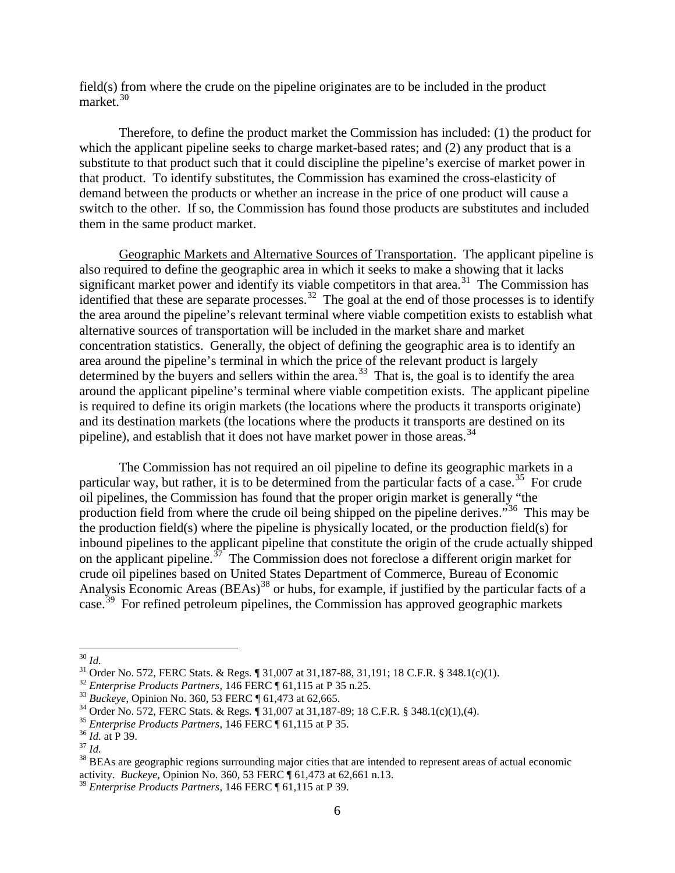field(s) from where the crude on the pipeline originates are to be included in the product market.[30](#page-4-0)

Therefore, to define the product market the Commission has included: (1) the product for which the applicant pipeline seeks to charge market-based rates; and (2) any product that is a substitute to that product such that it could discipline the pipeline's exercise of market power in that product. To identify substitutes, the Commission has examined the cross-elasticity of demand between the products or whether an increase in the price of one product will cause a switch to the other. If so, the Commission has found those products are substitutes and included them in the same product market.

Geographic Markets and Alternative Sources of Transportation. The applicant pipeline is also required to define the geographic area in which it seeks to make a showing that it lacks significant market power and identify its viable competitors in that area.<sup>31</sup> The Commission has identified that these are separate processes.  $32$  The goal at the end of those processes is to identify the area around the pipeline's relevant terminal where viable competition exists to establish what alternative sources of transportation will be included in the market share and market concentration statistics. Generally, the object of defining the geographic area is to identify an area around the pipeline's terminal in which the price of the relevant product is largely determined by the buyers and sellers within the area.<sup>33</sup> That is, the goal is to identify the area around the applicant pipeline's terminal where viable competition exists. The applicant pipeline is required to define its origin markets (the locations where the products it transports originate) and its destination markets (the locations where the products it transports are destined on its pipeline), and establish that it does not have market power in those areas.<sup>[34](#page-4-4)</sup>

The Commission has not required an oil pipeline to define its geographic markets in a particular way, but rather, it is to be determined from the particular facts of a case.<sup>35</sup> For crude oil pipelines, the Commission has found that the proper origin market is generally "the production field from where the crude oil being shipped on the pipeline derives."[36](#page-4-6) This may be the production field(s) where the pipeline is physically located, or the production field(s) for inbound pipelines to the applicant pipeline that constitute the origin of the crude actually shipped on the applicant pipeline.<sup>37</sup> The Commission does not foreclose a different origin market for crude oil pipelines based on United States Department of Commerce, Bureau of Economic Analysis Economic Areas (BEAs)<sup>[38](#page-4-8)</sup> or hubs, for example, if justified by the particular facts of a case.<sup>[39](#page-4-9)</sup> For refined petroleum pipelines, the Commission has approved geographic markets

<span id="page-4-2"></span>

<span id="page-4-3"></span>

<span id="page-4-4"></span>

<span id="page-4-5"></span>

<span id="page-4-6"></span>

<span id="page-4-8"></span><span id="page-4-7"></span>

<span id="page-4-1"></span><span id="page-4-0"></span><sup>&</sup>lt;sup>30</sup> *Id.*<br>
<sup>31</sup> Order No. 572, FERC Stats. & Regs. ¶ 31,007 at 31,187-88, 31,191; 18 C.F.R. § 348.1(c)(1).<br>
<sup>32</sup> *Enterprise Products Partners*, 146 FERC ¶ 61,115 at P 35 n.25.<br>
<sup>33</sup> *Buckeye*, Opinion No. 360, 53 FERC ¶ activity. *Buckeye*, Opinion No. 360, 53 FERC ¶ 61,473 at 62,661 n.13.

<span id="page-4-9"></span><sup>39</sup> *Enterprise Products Partners*, 146 FERC ¶ 61,115 at P 39.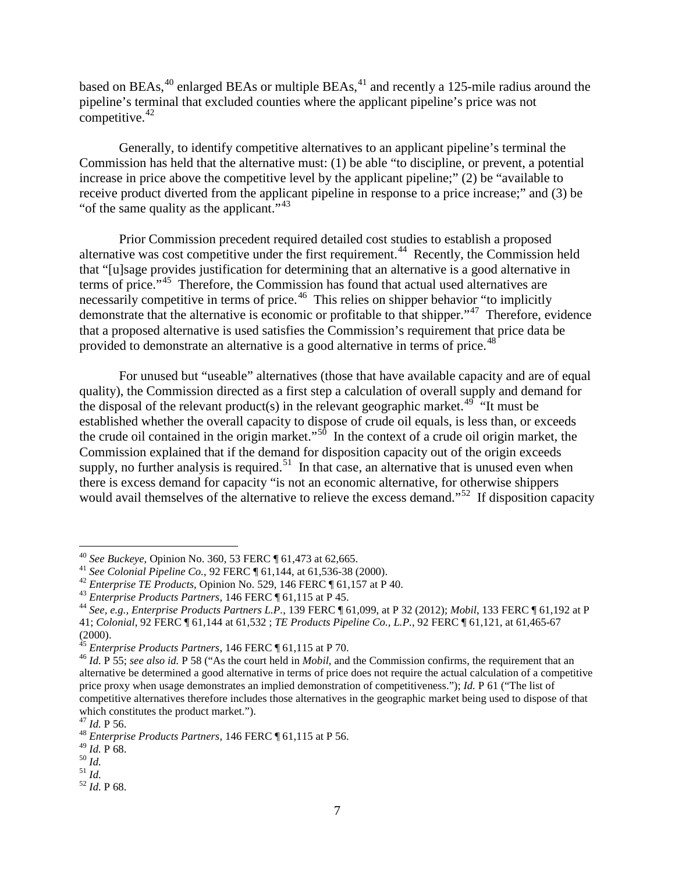based on BEAs,<sup>[40](#page-5-0)</sup> enlarged BEAs or multiple BEAs,<sup>[41](#page-5-1)</sup> and recently a 125-mile radius around the pipeline's terminal that excluded counties where the applicant pipeline's price was not competitive. $42$ 

Generally, to identify competitive alternatives to an applicant pipeline's terminal the Commission has held that the alternative must: (1) be able "to discipline, or prevent, a potential increase in price above the competitive level by the applicant pipeline;" (2) be "available to receive product diverted from the applicant pipeline in response to a price increase;" and (3) be "of the same quality as the applicant."<sup>43</sup>

Prior Commission precedent required detailed cost studies to establish a proposed alternative was cost competitive under the first requirement.<sup>[44](#page-5-4)</sup> Recently, the Commission held that "[u]sage provides justification for determining that an alternative is a good alternative in terms of price."[45](#page-5-5) Therefore, the Commission has found that actual used alternatives are necessarily competitive in terms of price.<sup>46</sup> This relies on shipper behavior "to implicitly demonstrate that the alternative is economic or profitable to that shipper."[47](#page-5-7) Therefore, evidence that a proposed alternative is used satisfies the Commission's requirement that price data be provided to demonstrate an alternative is a good alternative in terms of price.<sup>[48](#page-5-8)</sup>

For unused but "useable" alternatives (those that have available capacity and are of equal quality), the Commission directed as a first step a calculation of overall supply and demand for the disposal of the relevant product(s) in the relevant geographic market.<sup>49</sup> "It must be established whether the overall capacity to dispose of crude oil equals, is less than, or exceeds the crude oil contained in the origin market."<sup>50</sup> In the context of a crude oil origin market, the Commission explained that if the demand for disposition capacity out of the origin exceeds supply, no further analysis is required.<sup>51</sup> In that case, an alternative that is unused even when there is excess demand for capacity "is not an economic alternative, for otherwise shippers would avail themselves of the alternative to relieve the excess demand."<sup>52</sup> If disposition capacity

<span id="page-5-2"></span>

<span id="page-5-4"></span><span id="page-5-3"></span>

<span id="page-5-1"></span><span id="page-5-0"></span><sup>&</sup>lt;sup>40</sup> See Buckeye, Opinion No. 360, 53 FERC  $\P$  61,473 at 62,665.<br><sup>41</sup> See Colonial Pipeline Co., 92 FERC  $\P$  61,144, at 61,536-38 (2000).<br><sup>42</sup> Enterprise TE Products, Opinion No. 529, 146 FERC  $\P$  61,157 at P 40.<br><sup>43</sup> Ent 41; *Colonial*, 92 FERC ¶ 61,144 at 61,532 ; *TE Products Pipeline Co., L.P.*, 92 FERC ¶ 61,121, at 61,465-67

<span id="page-5-5"></span><sup>(2000).&</sup>lt;br> $45$  Enterprise Products Partners, 146 FERC  $\P$  61,115 at P 70.

<span id="page-5-6"></span><sup>&</sup>lt;sup>46</sup> *Id.* P 55; *see also id.* P 58 ("As the court held in *Mobil*, and the Commission confirms, the requirement that an alternative be determined a good alternative in terms of price does not require the actual calculation of a competitive price proxy when usage demonstrates an implied demonstration of competitiveness."); *Id.* P 61 ("The list of competitive alternatives therefore includes those alternatives in the geographic market being used to dispose of that which constitutes the product market.").  $47$  *Id*. P 56.

<span id="page-5-8"></span><span id="page-5-7"></span><sup>&</sup>lt;sup>48</sup> *Enterprise Products Partners*, 146 FERC ¶ 61,115 at P 56.<br><sup>49</sup> *Id.* P 68.

<span id="page-5-12"></span><span id="page-5-11"></span>

<span id="page-5-10"></span><span id="page-5-9"></span><sup>49</sup> *Id.* P 68. 50 *Id.* 51 *Id.* 52 *Id.* P 68.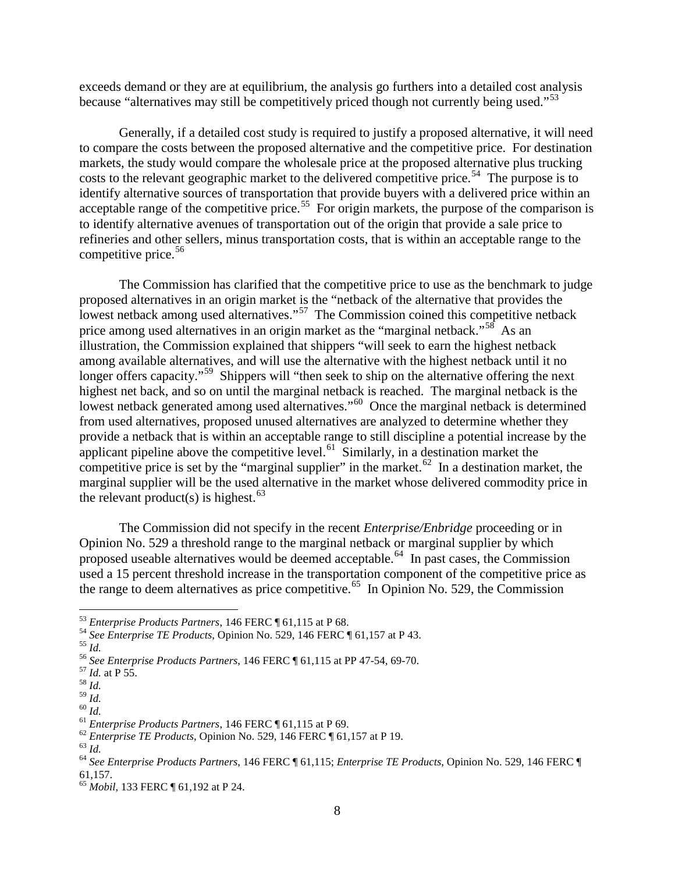exceeds demand or they are at equilibrium, the analysis go furthers into a detailed cost analysis because "alternatives may still be competitively priced though not currently being used."<sup>[53](#page-6-0)</sup>

Generally, if a detailed cost study is required to justify a proposed alternative, it will need to compare the costs between the proposed alternative and the competitive price. For destination markets, the study would compare the wholesale price at the proposed alternative plus trucking costs to the relevant geographic market to the delivered competitive price.<sup>[54](#page-6-1)</sup> The purpose is to identify alternative sources of transportation that provide buyers with a delivered price within an acceptable range of the competitive price.<sup>[55](#page-6-2)</sup> For origin markets, the purpose of the comparison is to identify alternative avenues of transportation out of the origin that provide a sale price to refineries and other sellers, minus transportation costs, that is within an acceptable range to the competitive price. [56](#page-6-3)

The Commission has clarified that the competitive price to use as the benchmark to judge proposed alternatives in an origin market is the "netback of the alternative that provides the lowest netback among used alternatives."<sup>57</sup> The Commission coined this competitive netback price among used alternatives in an origin market as the "marginal netback."<sup>58</sup> As an illustration, the Commission explained that shippers "will seek to earn the highest netback among available alternatives, and will use the alternative with the highest netback until it no longer offers capacity."<sup>59</sup> Shippers will "then seek to ship on the alternative offering the next highest net back, and so on until the marginal netback is reached. The marginal netback is the lowest netback generated among used alternatives."<sup>[60](#page-6-7)</sup> Once the marginal netback is determined from used alternatives, proposed unused alternatives are analyzed to determine whether they provide a netback that is within an acceptable range to still discipline a potential increase by the applicant pipeline above the competitive level.<sup>61</sup> Similarly, in a destination market the competitive price is set by the "marginal supplier" in the market.<sup>62</sup> In a destination market, the marginal supplier will be the used alternative in the market whose delivered commodity price in the relevant product(s) is highest.<sup>63</sup>

The Commission did not specify in the recent *Enterprise/Enbridge* proceeding or in Opinion No. 529 a threshold range to the marginal netback or marginal supplier by which proposed useable alternatives would be deemed acceptable.<sup>[64](#page-6-11)</sup> In past cases, the Commission used a 15 percent threshold increase in the transportation component of the competitive price as the range to deem alternatives as price competitive.<sup>[65](#page-6-12)</sup> In Opinion No. 529, the Commission

<span id="page-6-1"></span><span id="page-6-0"></span><sup>&</sup>lt;sup>53</sup> Enterprise Products Partners, 146 FERC ¶ 61,115 at P 68.<br><sup>54</sup> See Enterprise TE Products, Opinion No. 529, 146 FERC ¶ 61,157 at P 43.<br><sup>55</sup> Id.<br><sup>55</sup> See Enterprise Products Partners, 146 FERC ¶ 61,115 at PP 47-54, 69-

<span id="page-6-2"></span>

<span id="page-6-3"></span>

<span id="page-6-4"></span>

<span id="page-6-5"></span>

<span id="page-6-9"></span>

<span id="page-6-11"></span><span id="page-6-10"></span>

<span id="page-6-8"></span><span id="page-6-7"></span><span id="page-6-6"></span><sup>&</sup>lt;sup>61</sup><br>
<sup>61</sup><br>
<sup>61</sup><br> *Enterprise Products Partners*, 146 FERC ¶ 61,115 at P 69.<br>
<sup>62</sup><br> *62*<br> *62*<br> *64*<br> *64*<br> *64*<br> *64*<br> *64*<br> *64*<br> *64*<br> *64*<br> *64*<br> *64*<br> *64*<br> *64*<br> *64*<br> *64*<br> *64*<br> *64*<br> *64*<br> *64*<br> *64*<br> *64*<br> *64*<br>

<span id="page-6-12"></span><sup>&</sup>lt;sup>65</sup> *Mobil*, 133 FERC ¶ 61,192 at P 24.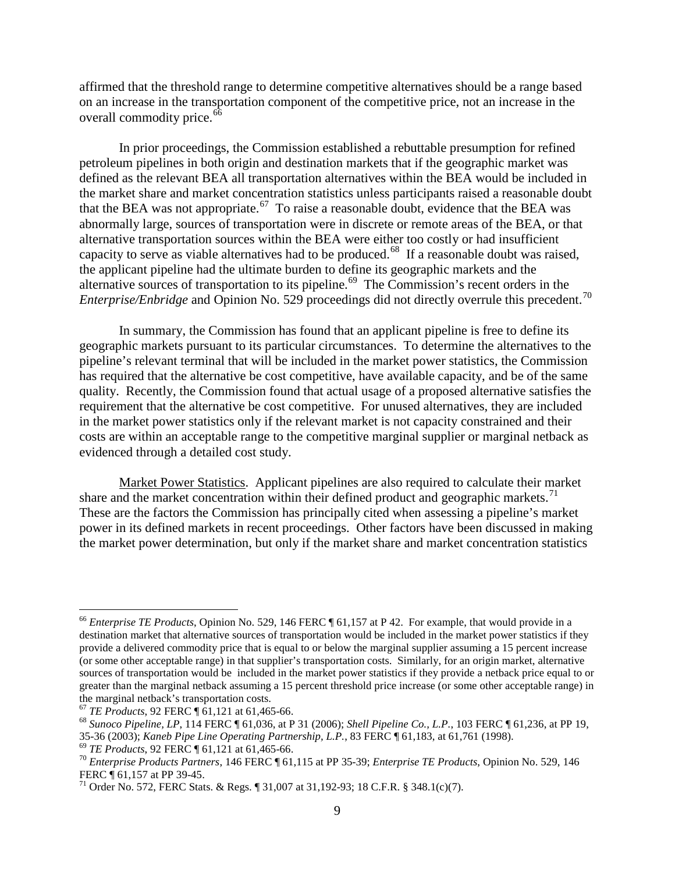affirmed that the threshold range to determine competitive alternatives should be a range based on an increase in the transportation component of the competitive price, not an increase in the overall commodity price.<sup>66</sup>

In prior proceedings, the Commission established a rebuttable presumption for refined petroleum pipelines in both origin and destination markets that if the geographic market was defined as the relevant BEA all transportation alternatives within the BEA would be included in the market share and market concentration statistics unless participants raised a reasonable doubt that the BEA was not appropriate.<sup>67</sup> To raise a reasonable doubt, evidence that the BEA was abnormally large, sources of transportation were in discrete or remote areas of the BEA, or that alternative transportation sources within the BEA were either too costly or had insufficient capacity to serve as viable alternatives had to be produced.<sup>68</sup> If a reasonable doubt was raised, the applicant pipeline had the ultimate burden to define its geographic markets and the alternative sources of transportation to its pipeline.<sup>[69](#page-7-3)</sup> The Commission's recent orders in the *Enterprise/Enbridge* and Opinion No. 529 proceedings did not directly overrule this precedent.<sup>[70](#page-7-4)</sup>

In summary, the Commission has found that an applicant pipeline is free to define its geographic markets pursuant to its particular circumstances. To determine the alternatives to the pipeline's relevant terminal that will be included in the market power statistics, the Commission has required that the alternative be cost competitive, have available capacity, and be of the same quality. Recently, the Commission found that actual usage of a proposed alternative satisfies the requirement that the alternative be cost competitive. For unused alternatives, they are included in the market power statistics only if the relevant market is not capacity constrained and their costs are within an acceptable range to the competitive marginal supplier or marginal netback as evidenced through a detailed cost study.

Market Power Statistics. Applicant pipelines are also required to calculate their market share and the market concentration within their defined product and geographic markets.<sup>71</sup> These are the factors the Commission has principally cited when assessing a pipeline's market power in its defined markets in recent proceedings. Other factors have been discussed in making the market power determination, but only if the market share and market concentration statistics

<span id="page-7-0"></span> <sup>66</sup> *Enterprise TE Products*, Opinion No. 529, 146 FERC ¶ 61,157 at P 42. For example, that would provide in a destination market that alternative sources of transportation would be included in the market power statistics if they provide a delivered commodity price that is equal to or below the marginal supplier assuming a 15 percent increase (or some other acceptable range) in that supplier's transportation costs. Similarly, for an origin market, alternative sources of transportation would be included in the market power statistics if they provide a netback price equal to or greater than the marginal netback assuming a 15 percent threshold price increase (or some other acceptable range) in the marginal netback's transportation costs.<br>
<sup>67</sup> TE Products, 92 FERC ¶ 61,121 at 61,465-66.

<span id="page-7-1"></span>

<span id="page-7-2"></span><sup>&</sup>lt;sup>68</sup> Sunoco Pipeline, LP, 114 FERC ¶ 61,036, at P 31 (2006); *Shell Pipeline Co., L.P.*, 103 FERC ¶ 61,236, at PP 19, 35-36 (2003); *Kaneb Pipe Line Operating Partnership, L.P.*, 83 FERC ¶ 61,183, at 61,761 (1998).

<span id="page-7-4"></span><span id="page-7-3"></span><sup>&</sup>lt;sup>69</sup> *TE Products*, 92 FERC  $\P$  61,121 at 61,465-66.<br><sup>70</sup> *Enterprise Products Partners*, 146 FERC  $\P$  61,115 at PP 35-39; *Enterprise TE Products*, Opinion No. 529, 146<br>FERC  $\P$  61,157 at PP 39-45.

<span id="page-7-5"></span> $^{71}$  Order No. 572, FERC Stats. & Regs.  $\parallel$  31,007 at 31,192-93; 18 C.F.R. § 348.1(c)(7).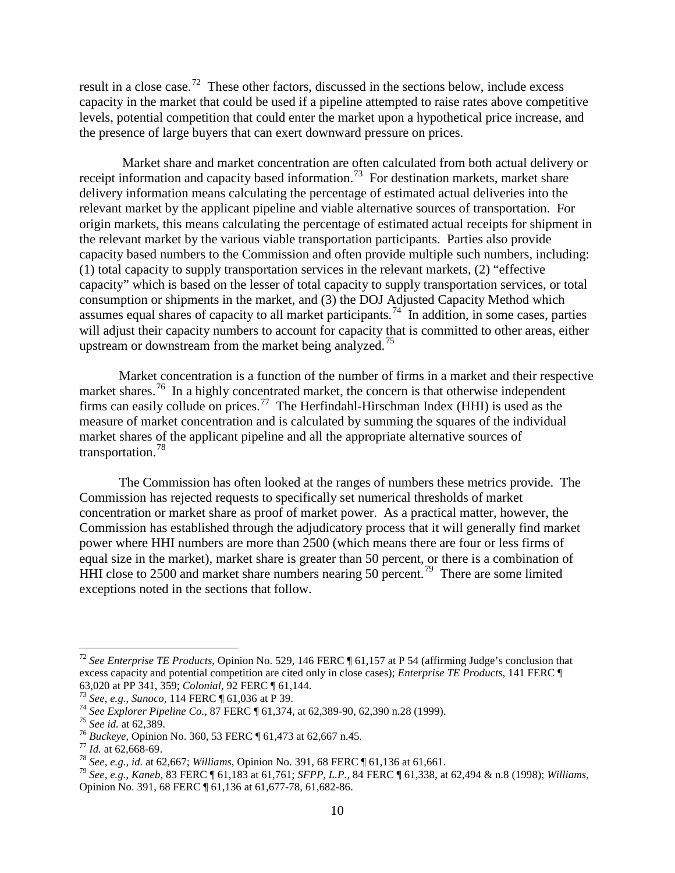result in a close case.<sup>[72](#page-8-0)</sup> These other factors, discussed in the sections below, include excess capacity in the market that could be used if a pipeline attempted to raise rates above competitive levels, potential competition that could enter the market upon a hypothetical price increase, and the presence of large buyers that can exert downward pressure on prices.

Market share and market concentration are often calculated from both actual delivery or receipt information and capacity based information.<sup>[73](#page-8-1)</sup> For destination markets, market share delivery information means calculating the percentage of estimated actual deliveries into the relevant market by the applicant pipeline and viable alternative sources of transportation. For origin markets, this means calculating the percentage of estimated actual receipts for shipment in the relevant market by the various viable transportation participants. Parties also provide capacity based numbers to the Commission and often provide multiple such numbers, including: (1) total capacity to supply transportation services in the relevant markets, (2) "effective capacity" which is based on the lesser of total capacity to supply transportation services, or total consumption or shipments in the market, and (3) the DOJ Adjusted Capacity Method which assumes equal shares of capacity to all market participants.<sup>[74](#page-8-2)</sup> In addition, in some cases, parties will adjust their capacity numbers to account for capacity that is committed to other areas, either upstream or downstream from the market being analyzed.<sup>75</sup>

Market concentration is a function of the number of firms in a market and their respective market shares.<sup>[76](#page-8-4)</sup> In a highly concentrated market, the concern is that otherwise independent firms can easily collude on prices.<sup>77</sup> The Herfindahl-Hirschman Index (HHI) is used as the measure of market concentration and is calculated by summing the squares of the individual market shares of the applicant pipeline and all the appropriate alternative sources of transportation.[78](#page-8-6)

The Commission has often looked at the ranges of numbers these metrics provide. The Commission has rejected requests to specifically set numerical thresholds of market concentration or market share as proof of market power. As a practical matter, however, the Commission has established through the adjudicatory process that it will generally find market power where HHI numbers are more than 2500 (which means there are four or less firms of equal size in the market), market share is greater than 50 percent, or there is a combination of HHI close to 2500 and market share numbers nearing 50 percent.<sup>[79](#page-8-7)</sup> There are some limited exceptions noted in the sections that follow.

<span id="page-8-0"></span> <sup>72</sup> *See Enterprise TE Products*, Opinion No. 529, 146 FERC ¶ 61,157 at P 54 (affirming Judge's conclusion that excess capacity and potential competition are cited only in close cases); *Enterprise TE Products*, 141 FERC ¶

<span id="page-8-2"></span>

<span id="page-8-3"></span>

<span id="page-8-4"></span>

<span id="page-8-5"></span>

<span id="page-8-7"></span><span id="page-8-6"></span>

<span id="page-8-1"></span><sup>&</sup>lt;sup>73</sup> See, e.g., Sunoco, 114 FERC 161,036 at P 39.<br>
<sup>74</sup> See Explorer Pipeline Co., 87 FERC 161,374, at 62,389-90, 62,390 n.28 (1999).<br>
<sup>75</sup> See id. at 62,389.<br>
<sup>76</sup> Buckeye, Opinion No. 360, 53 FERC 161,473 at 62,667 n.45 Opinion No. 391, 68 FERC ¶ 61,136 at 61,677-78, 61,682-86.